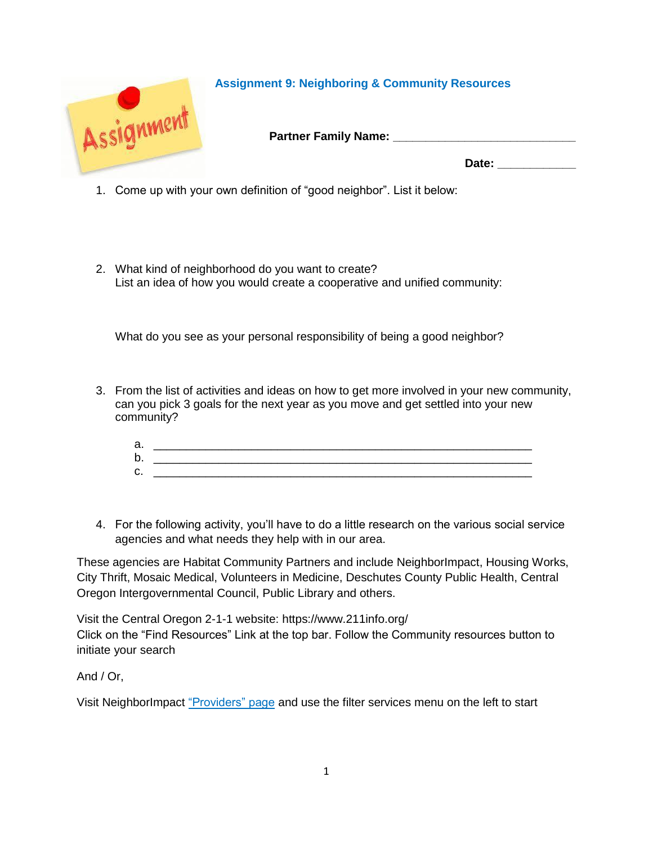

## **Assignment 9: Neighboring & Community Resources**

**Partner Family Name: Partner Family Name:** 

Date:

- 1. Come up with your own definition of "good neighbor". List it below:
- 2. What kind of neighborhood do you want to create? List an idea of how you would create a cooperative and unified community:

What do you see as your personal responsibility of being a good neighbor?

3. From the list of activities and ideas on how to get more involved in your new community, can you pick 3 goals for the next year as you move and get settled into your new community?

| а.      |  |
|---------|--|
| b.      |  |
| ⌒<br>U. |  |

4. For the following activity, you'll have to do a little research on the various social service agencies and what needs they help with in our area.

These agencies are Habitat Community Partners and include NeighborImpact, Housing Works, City Thrift, Mosaic Medical, Volunteers in Medicine, Deschutes County Public Health, Central Oregon Intergovernmental Council, Public Library and others.

Visit the Central Oregon 2-1-1 website:<https://www.211info.org/> Click on the "Find Resources" Link at the top bar. Follow the Community resources button to initiate your search

And / Or,

Visit NeighborImpact ["Providers" page](https://www.neighborimpact.org/providers/) and use the filter services menu on the left to start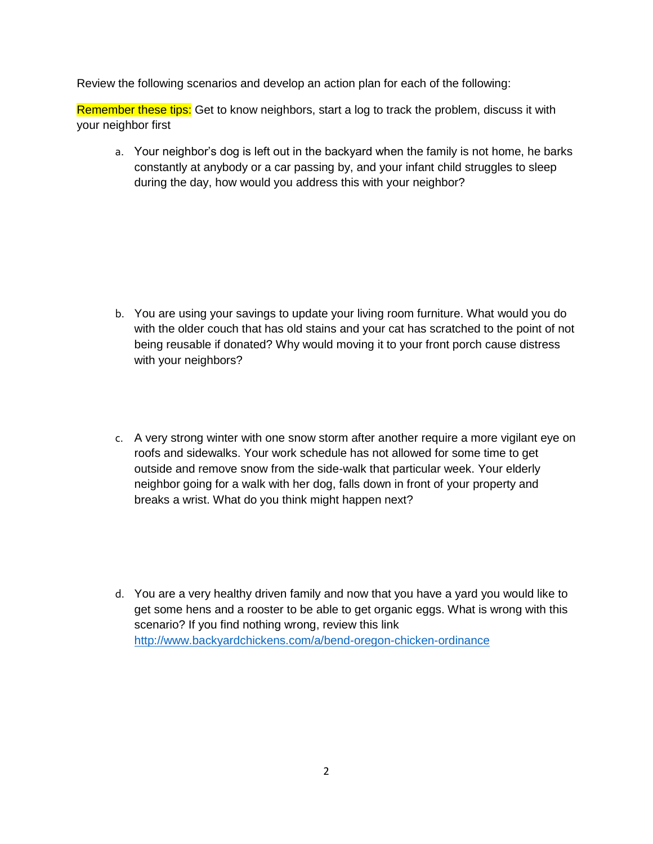Review the following scenarios and develop an action plan for each of the following:

Remember these tips: Get to know neighbors, start a log to track the problem, discuss it with your neighbor first

a. Your neighbor's dog is left out in the backyard when the family is not home, he barks constantly at anybody or a car passing by, and your infant child struggles to sleep during the day, how would you address this with your neighbor?

- b. You are using your savings to update your living room furniture. What would you do with the older couch that has old stains and your cat has scratched to the point of not being reusable if donated? Why would moving it to your front porch cause distress with your neighbors?
- c. A very strong winter with one snow storm after another require a more vigilant eye on roofs and sidewalks. Your work schedule has not allowed for some time to get outside and remove snow from the side-walk that particular week. Your elderly neighbor going for a walk with her dog, falls down in front of your property and breaks a wrist. What do you think might happen next?
- d. You are a very healthy driven family and now that you have a yard you would like to get some hens and a rooster to be able to get organic eggs. What is wrong with this scenario? If you find nothing wrong, review this link <http://www.backyardchickens.com/a/bend-oregon-chicken-ordinance>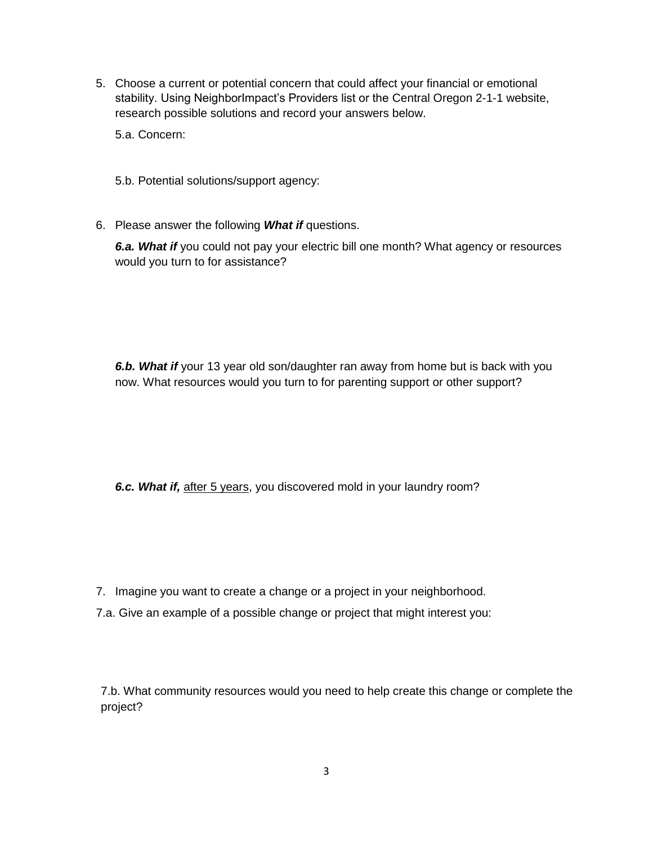5. Choose a current or potential concern that could affect your financial or emotional stability. Using NeighborImpact's Providers list or the Central Oregon 2-1-1 website, research possible solutions and record your answers below.

5.a. Concern:

5.b. Potential solutions/support agency:

6. Please answer the following *What if* questions.

*6.a. What if* you could not pay your electric bill one month? What agency or resources would you turn to for assistance?

*6.b. What if* your 13 year old son/daughter ran away from home but is back with you now. What resources would you turn to for parenting support or other support?

*6.c. What if,* after 5 years, you discovered mold in your laundry room?

- 7. Imagine you want to create a change or a project in your neighborhood.
- 7.a. Give an example of a possible change or project that might interest you:

7.b. What community resources would you need to help create this change or complete the project?